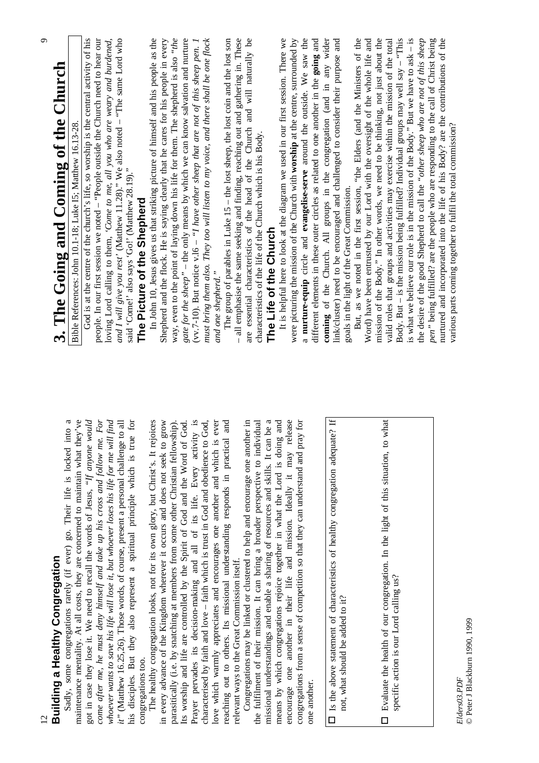|                                                                                                                                                                | $\sigma$                                                                                                                                                                 |
|----------------------------------------------------------------------------------------------------------------------------------------------------------------|--------------------------------------------------------------------------------------------------------------------------------------------------------------------------|
| <b>Building a Healthy Congregation</b>                                                                                                                         | 3. The Going and Coming of the Church                                                                                                                                    |
| maintenance mentality. At all costs, they are concerned to maintain what they've<br>Sadly, some congregations rarely (if ever) go. Their life is locked into a | Bible References: John 10.1-18; Luke IS; Matthew 16.13-28                                                                                                                |
| got in case they lose it. We need to recall the words of Jesus, "If anyone would                                                                               | God is at the centre of the church's life, so worship is the central activity of his                                                                                     |
| come after me, he must deny himself and take up his cross and follow me. For                                                                                   | people. In our first session we noted - "People outside the Church need to hear our                                                                                      |
| whoever wants to save his life will lose it, but whoever loses his life for me will find                                                                       | loving Lord calling to them, 'Come to me, all you who are weary and burdened,                                                                                            |
| it" (Matthew 16.25,26). Those words, of course, present a personal challenge to all                                                                            | and I will give you rest' (Matthew 11.28)." We also noted – "The same Lord who said 'Come!' also says 'Go!' (Matthew 28.19)."                                            |
| his disciples. But they also represent a spiritual principle which is true for<br>congregations too.                                                           | The Picture of the Shepherd                                                                                                                                              |
| The healthy congregation looks, not for its own glory, but Christ's. It rejoices                                                                               | In John 10, Jesus gives us that striking picture of himself and his people as the                                                                                        |
| grow<br>in every advance of the Kingdom wherever it occurs and does not seek to                                                                                | Shepherd and the flock. He is saying clearly that he cares for his people in every                                                                                       |
| parasitically (i.e. by snatching at members from some other Christian fellowship).                                                                             | way, even to the point of laying down his life for them. The shepherd is also "the                                                                                       |
| Prayer pervades its decision-making and all of its life. Every activity is<br>God.<br>Its worship and life are controlled by the Spirit of God and the Word of | gate for the sheep" - the only means by which we can know salvation and nurture<br>(vv.7-10). But notice v.16 – "I have other sheep that are not of this sheep pen. I    |
| God,<br>characterised by faith and love - faith which is trust in God and obedience to                                                                         | must bring them also. They too will listen to my voice, and there shall be one flock                                                                                     |
| ever<br>love which warmly appreciates and encourages one another and which is                                                                                  | and one shepherd."                                                                                                                                                       |
| l and<br>reaching out to others. Its missional understanding responds in practical                                                                             | The group of parables in Luke $15$ – the lost sheep, the lost coin and the lost son                                                                                      |
| relevant ways to the Great Commission itself.                                                                                                                  | - all emphasise the same seeking and finding, reaching out and gathering in. These                                                                                       |
| Congregations may be linked or clustered to help and encourage one another in                                                                                  | are essential characteristics of the head of the Church and will naturally be                                                                                            |
| the fulfilment of their mission. It can bring a broader perspective to individual                                                                              | characteristics of the life of the Church which is his Body.                                                                                                             |
| missional understandings and enable a sharing of resources and skills. It can be a                                                                             | The Life of the Church                                                                                                                                                   |
| means by which congregations rejoice together in what the Lord is doing and                                                                                    | It is helpful here to look at the diagram we used in our first session. There we                                                                                         |
| encourage one another in their life and mission. Ideally it may release                                                                                        | were picturing the mission of the Church with worship at the centre, surrounded by                                                                                       |
| congregations from a sense of competition so that they can understand and pray for                                                                             | a nurture-equip circle and evangelise-serve around the outside. We saw the                                                                                               |
| one another.                                                                                                                                                   | different elements in these outer circles as related to one another in the going and                                                                                     |
| Is the above statement of characteristics of healthy congregation adequate? If<br>$\Box$                                                                       | link/cluster) need to be encouraged and challenged to consider their purpose and<br>coming of the Church. All groups in the congregation (and in any wider               |
| not, what should be added to it?                                                                                                                               | goals in the light of the Great Commission.                                                                                                                              |
|                                                                                                                                                                | But, as we noted in the first session, "the Elders (and the Ministers of the                                                                                             |
|                                                                                                                                                                | Word) have been entrusted by our Lord with the oversight of the whole life and                                                                                           |
| what<br>Evaluate the health of our congregation. In the light of this situation, to<br>$\Box$                                                                  | mission of the Body." In other words, we need to be thinking, not just about the<br>valid roles that groups and activities may exercise within the mission of the total  |
| specific action is our Lord calling us?                                                                                                                        | Body. But - is the mission being fulfilled? Individual groups may well say - "This                                                                                       |
|                                                                                                                                                                | is what we believe our role is in the mission of the Body." But we have to ask $-$ is                                                                                    |
|                                                                                                                                                                | the desire of the good Shepherd to call the "other sheep who are not of this sheep                                                                                       |
|                                                                                                                                                                | pen" being fulfilled? are the people who are responding to the call of Christ being<br>nurtured and incorporated into the life of his Body? are the contributions of the |
| $F1A$ ore $\Omega$ 3 $D$ D $F$                                                                                                                                 | various parts coming together to fulfil the total commission?                                                                                                            |

 $Elders 03. PDF \\ @ Peter I Blackburn 1990, 1999$ © Peter J Blackburn 1990, 1999 *Elders03.PDF*

Ο